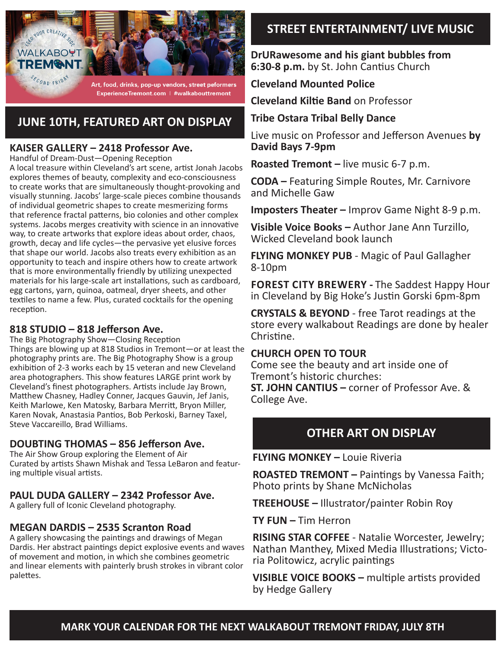

Art, food, drinks, pop-up vendors, street peformers ExperienceTremont.com | #walkabouttremont

## **JUNE 10TH, FEATURED ART ON DISPLAY**

#### **KAISER GALLERY – 2418 Professor Ave.**

Handful of Dream-Dust—Opening Reception

A local treasure within Cleveland's art scene, artist Jonah Jacobs explores themes of beauty, complexity and eco-consciousness to create works that are simultaneously thought-provoking and visually stunning. Jacobs' large-scale pieces combine thousands of individual geometric shapes to create mesmerizing forms that reference fractal patterns, bio colonies and other complex systems. Jacobs merges creativity with science in an innovative way, to create artworks that explore ideas about order, chaos, growth, decay and life cycles—the pervasive yet elusive forces that shape our world. Jacobs also treats every exhibition as an opportunity to teach and inspire others how to create artwork that is more environmentally friendly by utilizing unexpected materials for his large-scale art installations, such as cardboard, egg cartons, yarn, quinoa, oatmeal, dryer sheets, and other textiles to name a few. Plus, curated cocktails for the opening reception.

#### **818 STUDIO – 818 Jefferson Ave.**

The Big Photography Show—Closing Reception Things are blowing up at 818 Studios in Tremont—or at least the photography prints are. The Big Photography Show is a group exhibition of 2-3 works each by 15 veteran and new Cleveland area photographers. This show features LARGE print work by Cleveland's finest photographers. Artists include Jay Brown, Matthew Chasney, Hadley Conner, Jacques Gauvin, Jef Janis, Keith Marlowe, Ken Matosky, Barbara Merritt, Bryon Miller, Karen Novak, Anastasia Pantios, Bob Perkoski, Barney Taxel, Steve Vaccareillo, Brad Williams.

#### **DOUBTING THOMAS – 856 Jefferson Ave.**

The Air Show Group exploring the Element of Air Curated by artists Shawn Mishak and Tessa LeBaron and featuring multiple visual artists.

#### **PAUL DUDA GALLERY – 2342 Professor Ave.**

A gallery full of Iconic Cleveland photography.

#### **MEGAN DARDIS – 2535 Scranton Road**

A gallery showcasing the paintings and drawings of Megan Dardis. Her abstract paintings depict explosive events and waves of movement and motion, in which she combines geometric and linear elements with painterly brush strokes in vibrant color palettes.

## **STREET ENTERTAINMENT/ LIVE MUSIC**

**DrURawesome and his giant bubbles from 6:30-8 p.m.** by St. John Cantius Church

**Cleveland Mounted Police**

**Cleveland Kiltie Band** on Professor

#### **Tribe Ostara Tribal Belly Dance**

Live music on Professor and Jefferson Avenues **by David Bays 7-9pm**

**Roasted Tremont –** live music 6-7 p.m.

**CODA –** Featuring Simple Routes, Mr. Carnivore and Michelle Gaw

**Imposters Theater –** Improv Game Night 8-9 p.m.

**Visible Voice Books –** Author Jane Ann Turzillo, Wicked Cleveland book launch

**FLYING MONKEY PUB** - Magic of Paul Gallagher 8-10pm

**Forest City Brewery -** The Saddest Happy Hour in Cleveland by Big Hoke's Justin Gorski 6pm-8pm

**CRYSTALS & BEYOND** - free Tarot readings at the store every walkabout Readings are done by healer Christine.

#### **CHURCH OPEN TO TOUR**

Come see the beauty and art inside one of Tremont's historic churches:

**ST. JOHN CANTIUS –** corner of Professor Ave. & College Ave.

## **OTHER ART ON DISPLAY**

**FLYING MONKEY –** Louie Riveria

**ROASTED TREMONT –** Paintings by Vanessa Faith; Photo prints by Shane McNicholas

**TREEHOUSE –** Illustrator/painter Robin Roy

**TY FUN –** Tim Herron

**RISING STAR COFFEE** - Natalie Worcester, Jewelry; Nathan Manthey, Mixed Media Illustrations; Victoria Politowicz, acrylic paintings

**VISIBLE VOICE BOOKS –** multiple artists provided by Hedge Gallery

#### **MARK YOUR CALENDAR FOR THE NEXT WALKABOUT TREMONT FRIDAY, JULY 8TH**